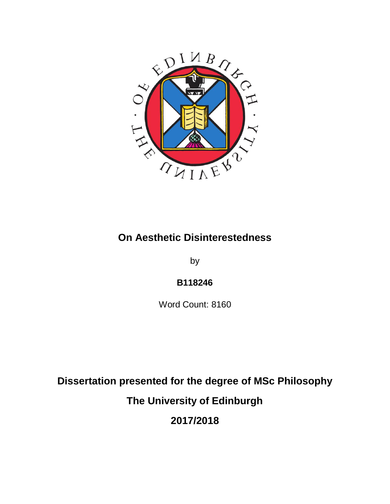

# **On Aesthetic Disinterestedness**

by

## **B118246**

Word Count: 8160

**Dissertation presented for the degree of MSc Philosophy**

**The University of Edinburgh**

**2017/2018**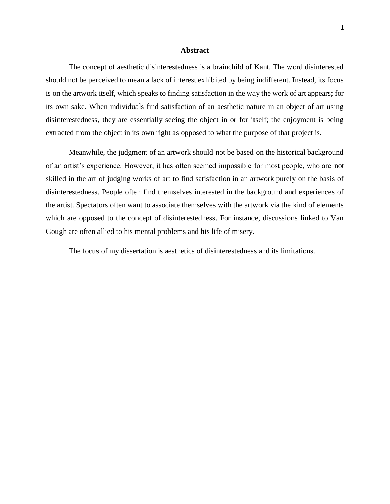## **Abstract**

The concept of aesthetic disinterestedness is a brainchild of Kant. The word disinterested should not be perceived to mean a lack of interest exhibited by being indifferent. Instead, its focus is on the artwork itself, which speaks to finding satisfaction in the way the work of art appears; for its own sake. When individuals find satisfaction of an aesthetic nature in an object of art using disinterestedness, they are essentially seeing the object in or for itself; the enjoyment is being extracted from the object in its own right as opposed to what the purpose of that project is.

Meanwhile, the judgment of an artwork should not be based on the historical background of an artist's experience. However, it has often seemed impossible for most people, who are not skilled in the art of judging works of art to find satisfaction in an artwork purely on the basis of disinterestedness. People often find themselves interested in the background and experiences of the artist. Spectators often want to associate themselves with the artwork via the kind of elements which are opposed to the concept of disinterestedness. For instance, discussions linked to Van Gough are often allied to his mental problems and his life of misery.

The focus of my dissertation is aesthetics of disinterestedness and its limitations.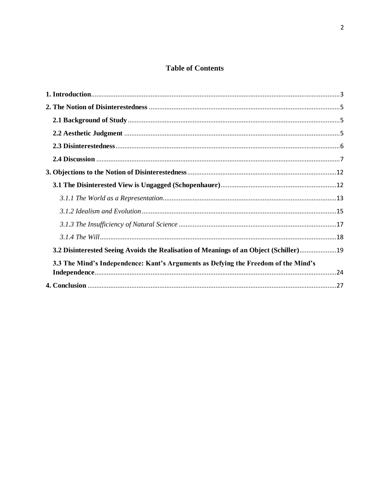## **Table of Contents**

| 3.2 Disinterested Seeing Avoids the Realisation of Meanings of an Object (Schiller)19 |  |
|---------------------------------------------------------------------------------------|--|
| 3.3 The Mind's Independence: Kant's Arguments as Defying the Freedom of the Mind's    |  |
|                                                                                       |  |
|                                                                                       |  |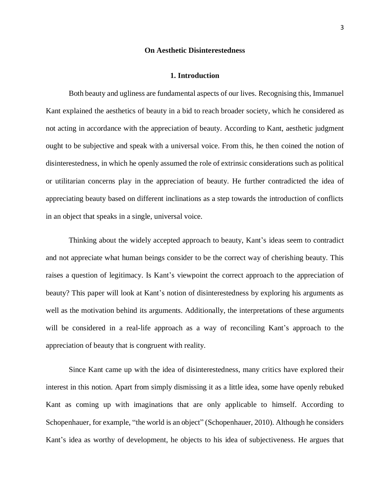#### **On Aesthetic Disinterestedness**

### **1. Introduction**

<span id="page-3-0"></span>Both beauty and ugliness are fundamental aspects of our lives. Recognising this, Immanuel Kant explained the aesthetics of beauty in a bid to reach broader society, which he considered as not acting in accordance with the appreciation of beauty. According to Kant, aesthetic judgment ought to be subjective and speak with a universal voice. From this, he then coined the notion of disinterestedness, in which he openly assumed the role of extrinsic considerations such as political or utilitarian concerns play in the appreciation of beauty. He further contradicted the idea of appreciating beauty based on different inclinations as a step towards the introduction of conflicts in an object that speaks in a single, universal voice.

Thinking about the widely accepted approach to beauty, Kant's ideas seem to contradict and not appreciate what human beings consider to be the correct way of cherishing beauty. This raises a question of legitimacy. Is Kant's viewpoint the correct approach to the appreciation of beauty? This paper will look at Kant's notion of disinterestedness by exploring his arguments as well as the motivation behind its arguments. Additionally, the interpretations of these arguments will be considered in a real-life approach as a way of reconciling Kant's approach to the appreciation of beauty that is congruent with reality.

Since Kant came up with the idea of disinterestedness, many critics have explored their interest in this notion. Apart from simply dismissing it as a little idea, some have openly rebuked Kant as coming up with imaginations that are only applicable to himself. According to Schopenhauer, for example, "the world is an object" (Schopenhauer, 2010). Although he considers Kant's idea as worthy of development, he objects to his idea of subjectiveness. He argues that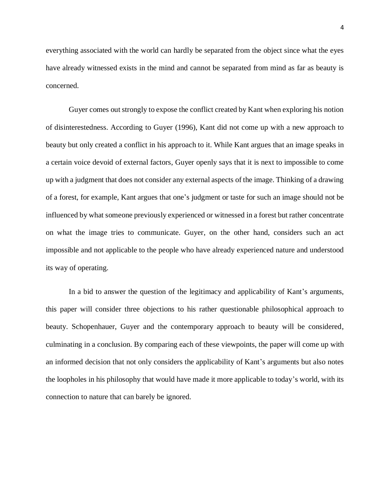everything associated with the world can hardly be separated from the object since what the eyes have already witnessed exists in the mind and cannot be separated from mind as far as beauty is concerned.

Guyer comes out strongly to expose the conflict created by Kant when exploring his notion of disinterestedness. According to Guyer (1996), Kant did not come up with a new approach to beauty but only created a conflict in his approach to it. While Kant argues that an image speaks in a certain voice devoid of external factors, Guyer openly says that it is next to impossible to come up with a judgment that does not consider any external aspects of the image. Thinking of a drawing of a forest, for example, Kant argues that one's judgment or taste for such an image should not be influenced by what someone previously experienced or witnessed in a forest but rather concentrate on what the image tries to communicate. Guyer, on the other hand, considers such an act impossible and not applicable to the people who have already experienced nature and understood its way of operating.

In a bid to answer the question of the legitimacy and applicability of Kant's arguments, this paper will consider three objections to his rather questionable philosophical approach to beauty. Schopenhauer, Guyer and the contemporary approach to beauty will be considered, culminating in a conclusion. By comparing each of these viewpoints, the paper will come up with an informed decision that not only considers the applicability of Kant's arguments but also notes the loopholes in his philosophy that would have made it more applicable to today's world, with its connection to nature that can barely be ignored.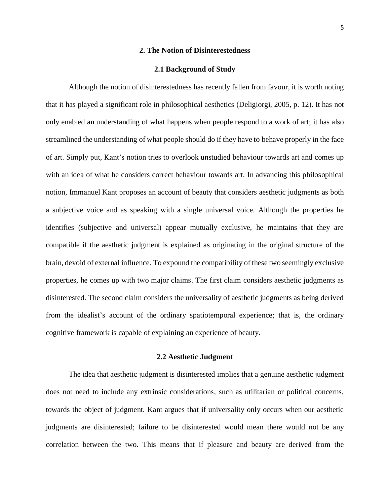## **2. The Notion of Disinterestedness**

#### **2.1 Background of Study**

<span id="page-5-1"></span><span id="page-5-0"></span>Although the notion of disinterestedness has recently fallen from favour, it is worth noting that it has played a significant role in philosophical aesthetics (Deligiorgi, 2005, p. 12). It has not only enabled an understanding of what happens when people respond to a work of art; it has also streamlined the understanding of what people should do if they have to behave properly in the face of art. Simply put, Kant's notion tries to overlook unstudied behaviour towards art and comes up with an idea of what he considers correct behaviour towards art. In advancing this philosophical notion, Immanuel Kant proposes an account of beauty that considers aesthetic judgments as both a subjective voice and as speaking with a single universal voice. Although the properties he identifies (subjective and universal) appear mutually exclusive, he maintains that they are compatible if the aesthetic judgment is explained as originating in the original structure of the brain, devoid of external influence. To expound the compatibility of these two seemingly exclusive properties, he comes up with two major claims. The first claim considers aesthetic judgments as disinterested. The second claim considers the universality of aesthetic judgments as being derived from the idealist's account of the ordinary spatiotemporal experience; that is, the ordinary cognitive framework is capable of explaining an experience of beauty.

## **2.2 Aesthetic Judgment**

<span id="page-5-2"></span>The idea that aesthetic judgment is disinterested implies that a genuine aesthetic judgment does not need to include any extrinsic considerations, such as utilitarian or political concerns, towards the object of judgment. Kant argues that if universality only occurs when our aesthetic judgments are disinterested; failure to be disinterested would mean there would not be any correlation between the two. This means that if pleasure and beauty are derived from the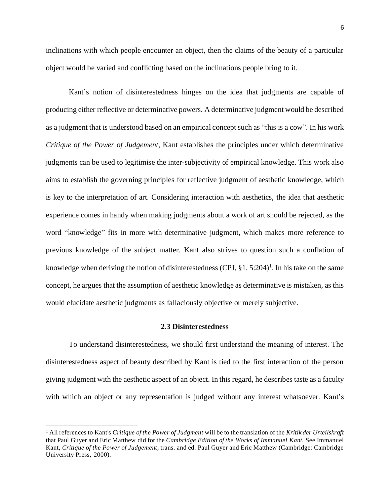inclinations with which people encounter an object, then the claims of the beauty of a particular object would be varied and conflicting based on the inclinations people bring to it.

Kant's notion of disinterestedness hinges on the idea that judgments are capable of producing either reflective or determinative powers. A determinative judgment would be described as a judgment that is understood based on an empirical concept such as "this is a cow". In his work *Critique of the Power of Judgement*, Kant establishes the principles under which determinative judgments can be used to legitimise the inter-subjectivity of empirical knowledge. This work also aims to establish the governing principles for reflective judgment of aesthetic knowledge, which is key to the interpretation of art. Considering interaction with aesthetics, the idea that aesthetic experience comes in handy when making judgments about a work of art should be rejected, as the word "knowledge" fits in more with determinative judgment, which makes more reference to previous knowledge of the subject matter. Kant also strives to question such a conflation of knowledge when deriving the notion of disinterestedness (CPJ, §1, 5:204)<sup>1</sup>. In his take on the same concept, he argues that the assumption of aesthetic knowledge as determinative is mistaken, as this would elucidate aesthetic judgments as fallaciously objective or merely subjective.

## **2.3 Disinterestedness**

<span id="page-6-0"></span>To understand disinterestedness, we should first understand the meaning of interest. The disinterestedness aspect of beauty described by Kant is tied to the first interaction of the person giving judgment with the aesthetic aspect of an object. In this regard, he describes taste as a faculty with which an object or any representation is judged without any interest whatsoever. Kant's

 $\overline{\phantom{0}}$ 

<sup>1</sup> All references to Kant's *Critique of the Power of Judgment* will be to the translation of the *Kritik der Urteilskrqft* that Paul Guyer and Eric Matthew did for the *Cambridge Edition of the Works of Immanuel Kant.* See Immanuel Kant, *Critique of the Power of Judgement*, trans. and ed. Paul Guyer and Eric Matthew (Cambridge: Cambridge University Press, 2000).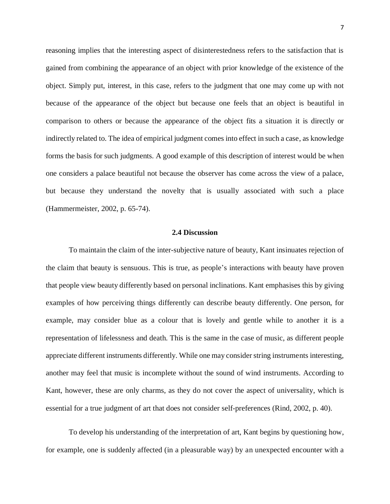reasoning implies that the interesting aspect of disinterestedness refers to the satisfaction that is gained from combining the appearance of an object with prior knowledge of the existence of the object. Simply put, interest, in this case, refers to the judgment that one may come up with not because of the appearance of the object but because one feels that an object is beautiful in comparison to others or because the appearance of the object fits a situation it is directly or indirectly related to. The idea of empirical judgment comes into effect in such a case, as knowledge forms the basis for such judgments. A good example of this description of interest would be when one considers a palace beautiful not because the observer has come across the view of a palace, but because they understand the novelty that is usually associated with such a place (Hammermeister, 2002, p. 65-74).

## **2.4 Discussion**

<span id="page-7-0"></span>To maintain the claim of the inter-subjective nature of beauty, Kant insinuates rejection of the claim that beauty is sensuous. This is true, as people's interactions with beauty have proven that people view beauty differently based on personal inclinations. Kant emphasises this by giving examples of how perceiving things differently can describe beauty differently. One person, for example, may consider blue as a colour that is lovely and gentle while to another it is a representation of lifelessness and death. This is the same in the case of music, as different people appreciate different instruments differently. While one may consider string instruments interesting, another may feel that music is incomplete without the sound of wind instruments. According to Kant, however, these are only charms, as they do not cover the aspect of universality, which is essential for a true judgment of art that does not consider self-preferences (Rind, 2002, p. 40).

To develop his understanding of the interpretation of art, Kant begins by questioning how, for example, one is suddenly affected (in a pleasurable way) by an unexpected encounter with a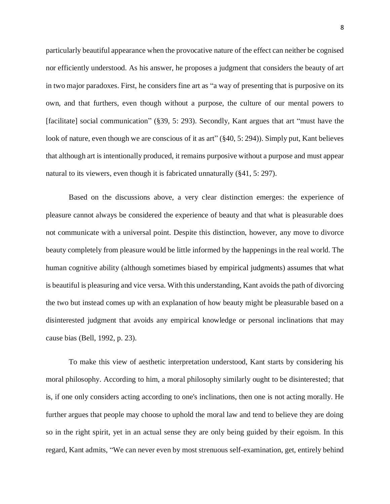particularly beautiful appearance when the provocative nature of the effect can neither be cognised nor efficiently understood. As his answer, he proposes a judgment that considers the beauty of art in two major paradoxes. First, he considers fine art as "a way of presenting that is purposive on its own, and that furthers, even though without a purpose, the culture of our mental powers to [facilitate] social communication" (§39, 5: 293). Secondly, Kant argues that art "must have the look of nature, even though we are conscious of it as art" (§40, 5: 294)). Simply put, Kant believes that although art is intentionally produced, it remains purposive without a purpose and must appear natural to its viewers, even though it is fabricated unnaturally (§41, 5: 297).

Based on the discussions above, a very clear distinction emerges: the experience of pleasure cannot always be considered the experience of beauty and that what is pleasurable does not communicate with a universal point. Despite this distinction, however, any move to divorce beauty completely from pleasure would be little informed by the happenings in the real world. The human cognitive ability (although sometimes biased by empirical judgments) assumes that what is beautiful is pleasuring and vice versa. With this understanding, Kant avoids the path of divorcing the two but instead comes up with an explanation of how beauty might be pleasurable based on a disinterested judgment that avoids any empirical knowledge or personal inclinations that may cause bias (Bell, 1992, p. 23).

To make this view of aesthetic interpretation understood, Kant starts by considering his moral philosophy. According to him, a moral philosophy similarly ought to be disinterested; that is, if one only considers acting according to one's inclinations, then one is not acting morally. He further argues that people may choose to uphold the moral law and tend to believe they are doing so in the right spirit, yet in an actual sense they are only being guided by their egoism. In this regard, Kant admits, "We can never even by most strenuous self-examination, get, entirely behind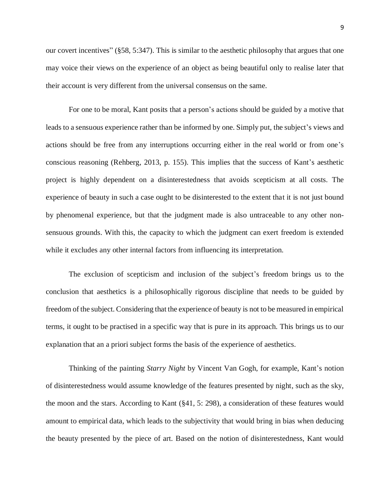our covert incentives" (§58, 5:347). This is similar to the aesthetic philosophy that argues that one may voice their views on the experience of an object as being beautiful only to realise later that their account is very different from the universal consensus on the same.

For one to be moral, Kant posits that a person's actions should be guided by a motive that leads to a sensuous experience rather than be informed by one. Simply put, the subject's views and actions should be free from any interruptions occurring either in the real world or from one's conscious reasoning (Rehberg, 2013, p. 155). This implies that the success of Kant's aesthetic project is highly dependent on a disinterestedness that avoids scepticism at all costs. The experience of beauty in such a case ought to be disinterested to the extent that it is not just bound by phenomenal experience, but that the judgment made is also untraceable to any other nonsensuous grounds. With this, the capacity to which the judgment can exert freedom is extended while it excludes any other internal factors from influencing its interpretation.

The exclusion of scepticism and inclusion of the subject's freedom brings us to the conclusion that aesthetics is a philosophically rigorous discipline that needs to be guided by freedom of the subject. Considering that the experience of beauty is not to be measured in empirical terms, it ought to be practised in a specific way that is pure in its approach. This brings us to our explanation that an a priori subject forms the basis of the experience of aesthetics.

Thinking of the painting *Starry Night* by Vincent Van Gogh, for example, Kant's notion of disinterestedness would assume knowledge of the features presented by night, such as the sky, the moon and the stars. According to Kant (§41, 5: 298), a consideration of these features would amount to empirical data, which leads to the subjectivity that would bring in bias when deducing the beauty presented by the piece of art. Based on the notion of disinterestedness, Kant would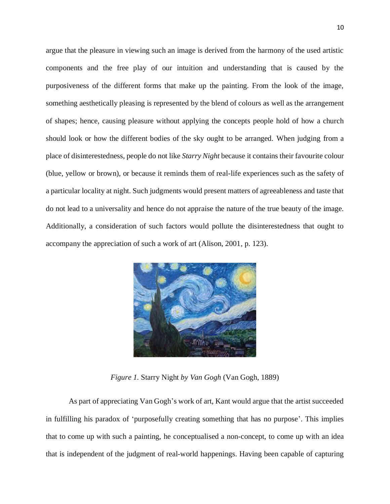argue that the pleasure in viewing such an image is derived from the harmony of the used artistic components and the free play of our intuition and understanding that is caused by the purposiveness of the different forms that make up the painting. From the look of the image, something aesthetically pleasing is represented by the blend of colours as well as the arrangement of shapes; hence, causing pleasure without applying the concepts people hold of how a church should look or how the different bodies of the sky ought to be arranged. When judging from a place of disinterestedness, people do not like *Starry Night* because it contains their favourite colour (blue, yellow or brown), or because it reminds them of real-life experiences such as the safety of a particular locality at night. Such judgments would present matters of agreeableness and taste that do not lead to a universality and hence do not appraise the nature of the true beauty of the image. Additionally, a consideration of such factors would pollute the disinterestedness that ought to accompany the appreciation of such a work of art (Alison, 2001, p. 123).



*Figure 1.* Starry Night *by Van Gogh* (Van Gogh, 1889)

As part of appreciating Van Gogh's work of art, Kant would argue that the artist succeeded in fulfilling his paradox of 'purposefully creating something that has no purpose'. This implies that to come up with such a painting, he conceptualised a non-concept, to come up with an idea that is independent of the judgment of real-world happenings. Having been capable of capturing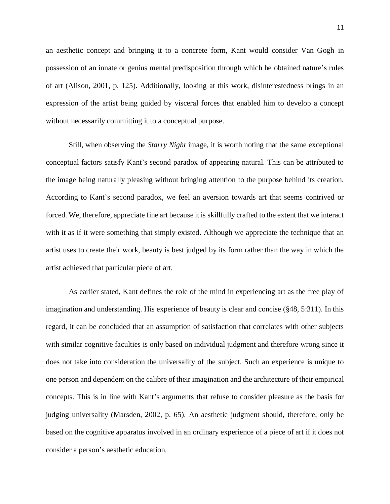an aesthetic concept and bringing it to a concrete form, Kant would consider Van Gogh in possession of an innate or genius mental predisposition through which he obtained nature's rules of art (Alison, 2001, p. 125). Additionally, looking at this work, disinterestedness brings in an expression of the artist being guided by visceral forces that enabled him to develop a concept without necessarily committing it to a conceptual purpose.

Still, when observing the *Starry Night* image, it is worth noting that the same exceptional conceptual factors satisfy Kant's second paradox of appearing natural. This can be attributed to the image being naturally pleasing without bringing attention to the purpose behind its creation. According to Kant's second paradox, we feel an aversion towards art that seems contrived or forced. We, therefore, appreciate fine art because it is skillfully crafted to the extent that we interact with it as if it were something that simply existed. Although we appreciate the technique that an artist uses to create their work, beauty is best judged by its form rather than the way in which the artist achieved that particular piece of art.

As earlier stated, Kant defines the role of the mind in experiencing art as the free play of imagination and understanding. His experience of beauty is clear and concise (§48, 5:311). In this regard, it can be concluded that an assumption of satisfaction that correlates with other subjects with similar cognitive faculties is only based on individual judgment and therefore wrong since it does not take into consideration the universality of the subject. Such an experience is unique to one person and dependent on the calibre of their imagination and the architecture of their empirical concepts. This is in line with Kant's arguments that refuse to consider pleasure as the basis for judging universality (Marsden, 2002, p. 65). An aesthetic judgment should, therefore, only be based on the cognitive apparatus involved in an ordinary experience of a piece of art if it does not consider a person's aesthetic education.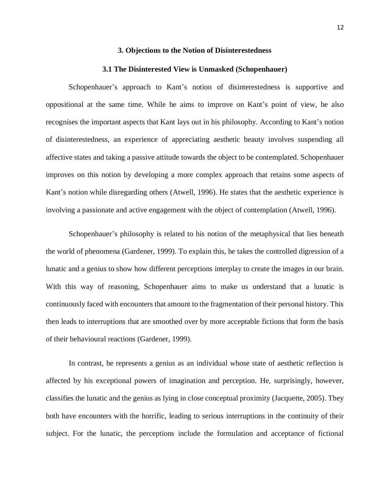#### **3. Objections to the Notion of Disinterestedness**

#### **3.1 The Disinterested View is Unmasked (Schopenhauer)**

<span id="page-12-1"></span><span id="page-12-0"></span>Schopenhauer's approach to Kant's notion of disinterestedness is supportive and oppositional at the same time. While he aims to improve on Kant's point of view, he also recognises the important aspects that Kant lays out in his philosophy. According to Kant's notion of disinterestedness, an experience of appreciating aesthetic beauty involves suspending all affective states and taking a passive attitude towards the object to be contemplated. Schopenhauer improves on this notion by developing a more complex approach that retains some aspects of Kant's notion while disregarding others (Atwell, 1996). He states that the aesthetic experience is involving a passionate and active engagement with the object of contemplation (Atwell, 1996).

Schopenhauer's philosophy is related to his notion of the metaphysical that lies beneath the world of phenomena (Gardener, 1999). To explain this, he takes the controlled digression of a lunatic and a genius to show how different perceptions interplay to create the images in our brain. With this way of reasoning, Schopenhauer aims to make us understand that a lunatic is continuously faced with encounters that amount to the fragmentation of their personal history. This then leads to interruptions that are smoothed over by more acceptable fictions that form the basis of their behavioural reactions (Gardener, 1999).

In contrast, he represents a genius as an individual whose state of aesthetic reflection is affected by his exceptional powers of imagination and perception. He, surprisingly, however, classifies the lunatic and the genius as lying in close conceptual proximity (Jacquette, 2005). They both have encounters with the horrific, leading to serious interruptions in the continuity of their subject. For the lunatic, the perceptions include the formulation and acceptance of fictional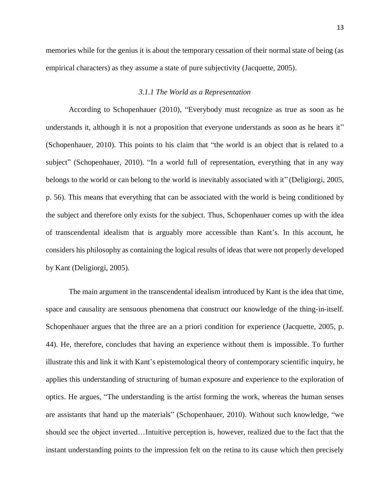memories while for the genius it is about the temporary cessation of their normal state of being (as empirical characters) as they assume a state of pure subjectivity (Jacquette, 2005).

## *3.1.1 The World as a Representation*

<span id="page-13-0"></span>According to Schopenhauer (2010), "Everybody must recognize as true as soon as he understands it, although it is not a proposition that everyone understands as soon as he hears it" (Schopenhauer, 2010). This points to his claim that "the world is an object that is related to a subject" (Schopenhauer, 2010). "In a world full of representation, everything that in any way belongs to the world or can belong to the world is inevitably associated with it" (Deligiorgi, 2005, p. 56). This means that everything that can be associated with the world is being conditioned by the subject and therefore only exists for the subject. Thus, Schopenhauer comes up with the idea of transcendental idealism that is arguably more accessible than Kant's. In this account, he considers his philosophy as containing the logical results of ideas that were not properly developed by Kant (Deligiorgi, 2005).

The main argument in the transcendental idealism introduced by Kant is the idea that time, space and causality are sensuous phenomena that construct our knowledge of the thing-in-itself. Schopenhauer argues that the three are an a priori condition for experience (Jacquette, 2005, p. 44). He, therefore, concludes that having an experience without them is impossible. To further illustrate this and link it with Kant's epistemological theory of contemporary scientific inquiry, he applies this understanding of structuring of human exposure and experience to the exploration of optics. He argues, "The understanding is the artist forming the work, whereas the human senses are assistants that hand up the materials" (Schopenhauer, 2010). Without such knowledge, "we should see the object inverted…Intuitive perception is, however, realized due to the fact that the instant understanding points to the impression felt on the retina to its cause which then precisely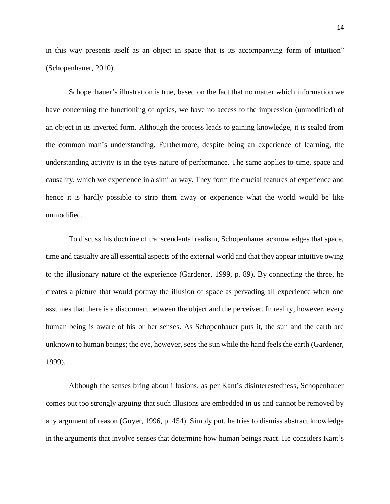in this way presents itself as an object in space that is its accompanying form of intuition" (Schopenhauer, 2010).

Schopenhauer's illustration is true, based on the fact that no matter which information we have concerning the functioning of optics, we have no access to the impression (unmodified) of an object in its inverted form. Although the process leads to gaining knowledge, it is sealed from the common man's understanding. Furthermore, despite being an experience of learning, the understanding activity is in the eyes nature of performance. The same applies to time, space and causality, which we experience in a similar way. They form the crucial features of experience and hence it is hardly possible to strip them away or experience what the world would be like unmodified.

To discuss his doctrine of transcendental realism, Schopenhauer acknowledges that space, time and casualty are all essential aspects of the external world and that they appear intuitive owing to the illusionary nature of the experience (Gardener, 1999, p. 89). By connecting the three, he creates a picture that would portray the illusion of space as pervading all experience when one assumes that there is a disconnect between the object and the perceiver. In reality, however, every human being is aware of his or her senses. As Schopenhauer puts it, the sun and the earth are unknown to human beings; the eye, however, sees the sun while the hand feels the earth (Gardener, 1999).

Although the senses bring about illusions, as per Kant's disinterestedness, Schopenhauer comes out too strongly arguing that such illusions are embedded in us and cannot be removed by any argument of reason (Guyer, 1996, p. 454). Simply put, he tries to dismiss abstract knowledge in the arguments that involve senses that determine how human beings react. He considers Kant's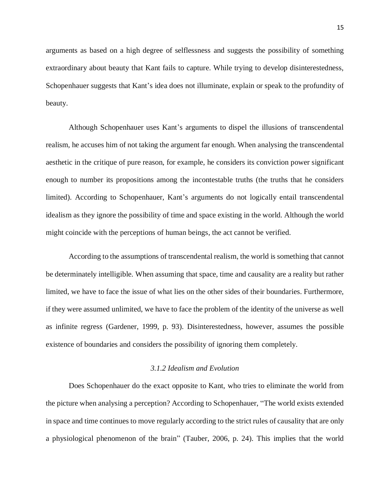arguments as based on a high degree of selflessness and suggests the possibility of something extraordinary about beauty that Kant fails to capture. While trying to develop disinterestedness, Schopenhauer suggests that Kant's idea does not illuminate, explain or speak to the profundity of beauty.

Although Schopenhauer uses Kant's arguments to dispel the illusions of transcendental realism, he accuses him of not taking the argument far enough. When analysing the transcendental aesthetic in the critique of pure reason, for example, he considers its conviction power significant enough to number its propositions among the incontestable truths (the truths that he considers limited). According to Schopenhauer, Kant's arguments do not logically entail transcendental idealism as they ignore the possibility of time and space existing in the world. Although the world might coincide with the perceptions of human beings, the act cannot be verified.

According to the assumptions of transcendental realism, the world is something that cannot be determinately intelligible. When assuming that space, time and causality are a reality but rather limited, we have to face the issue of what lies on the other sides of their boundaries. Furthermore, if they were assumed unlimited, we have to face the problem of the identity of the universe as well as infinite regress (Gardener, 1999, p. 93). Disinterestedness, however, assumes the possible existence of boundaries and considers the possibility of ignoring them completely.

## *3.1.2 Idealism and Evolution*

<span id="page-15-0"></span>Does Schopenhauer do the exact opposite to Kant, who tries to eliminate the world from the picture when analysing a perception? According to Schopenhauer, "The world exists extended in space and time continues to move regularly according to the strict rules of causality that are only a physiological phenomenon of the brain" (Tauber, 2006, p. 24). This implies that the world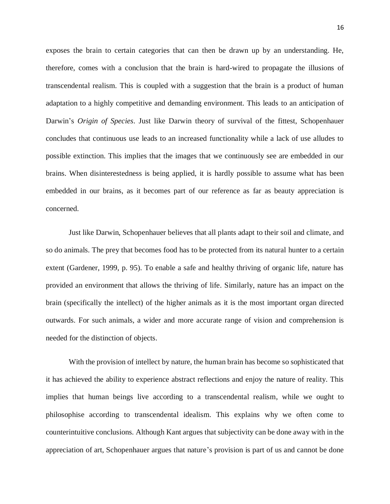exposes the brain to certain categories that can then be drawn up by an understanding. He, therefore, comes with a conclusion that the brain is hard-wired to propagate the illusions of transcendental realism. This is coupled with a suggestion that the brain is a product of human adaptation to a highly competitive and demanding environment. This leads to an anticipation of Darwin's *Origin of Species*. Just like Darwin theory of survival of the fittest, Schopenhauer concludes that continuous use leads to an increased functionality while a lack of use alludes to possible extinction. This implies that the images that we continuously see are embedded in our brains. When disinterestedness is being applied, it is hardly possible to assume what has been embedded in our brains, as it becomes part of our reference as far as beauty appreciation is concerned.

Just like Darwin, Schopenhauer believes that all plants adapt to their soil and climate, and so do animals. The prey that becomes food has to be protected from its natural hunter to a certain extent (Gardener, 1999, p. 95). To enable a safe and healthy thriving of organic life, nature has provided an environment that allows the thriving of life. Similarly, nature has an impact on the brain (specifically the intellect) of the higher animals as it is the most important organ directed outwards. For such animals, a wider and more accurate range of vision and comprehension is needed for the distinction of objects.

With the provision of intellect by nature, the human brain has become so sophisticated that it has achieved the ability to experience abstract reflections and enjoy the nature of reality. This implies that human beings live according to a transcendental realism, while we ought to philosophise according to transcendental idealism. This explains why we often come to counterintuitive conclusions. Although Kant argues that subjectivity can be done away with in the appreciation of art, Schopenhauer argues that nature's provision is part of us and cannot be done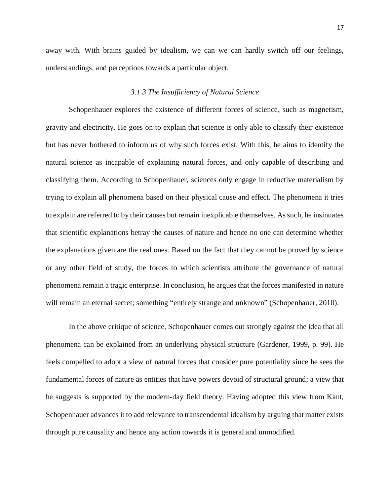away with. With brains guided by idealism, we can we can hardly switch off our feelings, understandings, and perceptions towards a particular object.

## *3.1.3 The Insufficiency of Natural Science*

<span id="page-17-0"></span>Schopenhauer explores the existence of different forces of science, such as magnetism, gravity and electricity. He goes on to explain that science is only able to classify their existence but has never bothered to inform us of why such forces exist. With this, he aims to identify the natural science as incapable of explaining natural forces, and only capable of describing and classifying them. According to Schopenhauer, sciences only engage in reductive materialism by trying to explain all phenomena based on their physical cause and effect. The phenomena it tries to explain are referred to by their causes but remain inexplicable themselves. As such, he insinuates that scientific explanations betray the causes of nature and hence no one can determine whether the explanations given are the real ones. Based on the fact that they cannot be proved by science or any other field of study, the forces to which scientists attribute the governance of natural phenomena remain a tragic enterprise. In conclusion, he argues that the forces manifested in nature will remain an eternal secret; something "entirely strange and unknown" (Schopenhauer, 2010).

In the above critique of science, Schopenhauer comes out strongly against the idea that all phenomena can be explained from an underlying physical structure (Gardener, 1999, p. 99). He feels compelled to adopt a view of natural forces that consider pure potentiality since he sees the fundamental forces of nature as entities that have powers devoid of structural ground; a view that he suggests is supported by the modern-day field theory. Having adopted this view from Kant, Schopenhauer advances it to add relevance to transcendental idealism by arguing that matter exists through pure causality and hence any action towards it is general and unmodified.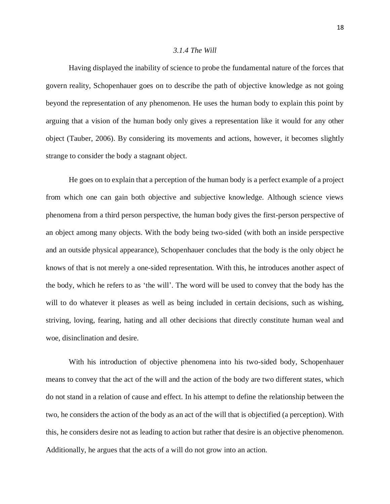### *3.1.4 The Will*

<span id="page-18-0"></span>Having displayed the inability of science to probe the fundamental nature of the forces that govern reality, Schopenhauer goes on to describe the path of objective knowledge as not going beyond the representation of any phenomenon. He uses the human body to explain this point by arguing that a vision of the human body only gives a representation like it would for any other object (Tauber, 2006). By considering its movements and actions, however, it becomes slightly strange to consider the body a stagnant object.

He goes on to explain that a perception of the human body is a perfect example of a project from which one can gain both objective and subjective knowledge. Although science views phenomena from a third person perspective, the human body gives the first-person perspective of an object among many objects. With the body being two-sided (with both an inside perspective and an outside physical appearance), Schopenhauer concludes that the body is the only object he knows of that is not merely a one-sided representation. With this, he introduces another aspect of the body, which he refers to as 'the will'. The word will be used to convey that the body has the will to do whatever it pleases as well as being included in certain decisions, such as wishing, striving, loving, fearing, hating and all other decisions that directly constitute human weal and woe, disinclination and desire.

With his introduction of objective phenomena into his two-sided body, Schopenhauer means to convey that the act of the will and the action of the body are two different states, which do not stand in a relation of cause and effect. In his attempt to define the relationship between the two, he considers the action of the body as an act of the will that is objectified (a perception). With this, he considers desire not as leading to action but rather that desire is an objective phenomenon. Additionally, he argues that the acts of a will do not grow into an action.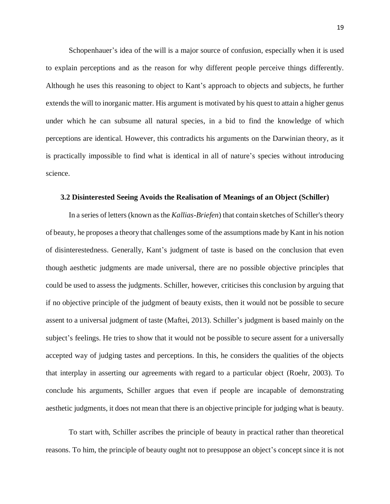Schopenhauer's idea of the will is a major source of confusion, especially when it is used to explain perceptions and as the reason for why different people perceive things differently. Although he uses this reasoning to object to Kant's approach to objects and subjects, he further extends the will to inorganic matter. His argument is motivated by his quest to attain a higher genus under which he can subsume all natural species, in a bid to find the knowledge of which perceptions are identical. However, this contradicts his arguments on the Darwinian theory, as it is practically impossible to find what is identical in all of nature's species without introducing science.

## <span id="page-19-0"></span>**3.2 Disinterested Seeing Avoids the Realisation of Meanings of an Object (Schiller)**

In a series of letters (known as the *Kallias-Briefen*) that contain sketches of Schiller's theory of beauty, he proposes a theory that challenges some of the assumptions made by Kant in his notion of disinterestedness. Generally, Kant's judgment of taste is based on the conclusion that even though aesthetic judgments are made universal, there are no possible objective principles that could be used to assess the judgments. Schiller, however, criticises this conclusion by arguing that if no objective principle of the judgment of beauty exists, then it would not be possible to secure assent to a universal judgment of taste (Maftei, 2013). Schiller's judgment is based mainly on the subject's feelings. He tries to show that it would not be possible to secure assent for a universally accepted way of judging tastes and perceptions. In this, he considers the qualities of the objects that interplay in asserting our agreements with regard to a particular object (Roehr, 2003). To conclude his arguments, Schiller argues that even if people are incapable of demonstrating aesthetic judgments, it does not mean that there is an objective principle for judging what is beauty.

To start with, Schiller ascribes the principle of beauty in practical rather than theoretical reasons. To him, the principle of beauty ought not to presuppose an object's concept since it is not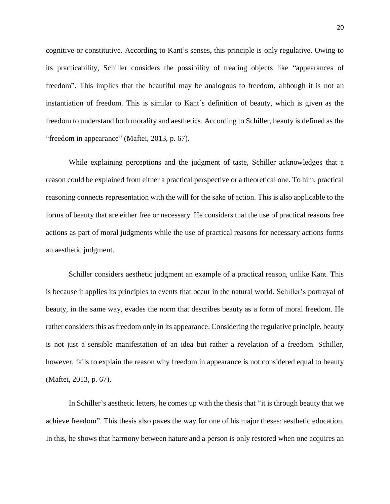cognitive or constitutive. According to Kant's senses, this principle is only regulative. Owing to its practicability, Schiller considers the possibility of treating objects like "appearances of freedom". This implies that the beautiful may be analogous to freedom, although it is not an instantiation of freedom. This is similar to Kant's definition of beauty, which is given as the freedom to understand both morality and aesthetics. According to Schiller, beauty is defined as the "freedom in appearance" (Maftei, 2013, p. 67).

While explaining perceptions and the judgment of taste, Schiller acknowledges that a reason could be explained from either a practical perspective or a theoretical one. To him, practical reasoning connects representation with the will for the sake of action. This is also applicable to the forms of beauty that are either free or necessary. He considers that the use of practical reasons free actions as part of moral judgments while the use of practical reasons for necessary actions forms an aesthetic judgment.

Schiller considers aesthetic judgment an example of a practical reason, unlike Kant. This is because it applies its principles to events that occur in the natural world. Schiller's portrayal of beauty, in the same way, evades the norm that describes beauty as a form of moral freedom. He rather considers this as freedom only in its appearance. Considering the regulative principle, beauty is not just a sensible manifestation of an idea but rather a revelation of a freedom. Schiller, however, fails to explain the reason why freedom in appearance is not considered equal to beauty (Maftei, 2013, p. 67).

In Schiller's aesthetic letters, he comes up with the thesis that "it is through beauty that we achieve freedom". This thesis also paves the way for one of his major theses: aesthetic education. In this, he shows that harmony between nature and a person is only restored when one acquires an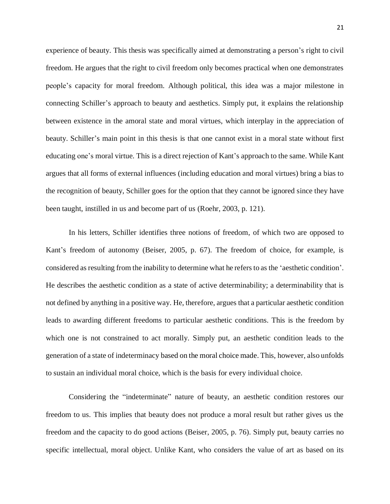experience of beauty. This thesis was specifically aimed at demonstrating a person's right to civil freedom. He argues that the right to civil freedom only becomes practical when one demonstrates people's capacity for moral freedom. Although political, this idea was a major milestone in connecting Schiller's approach to beauty and aesthetics. Simply put, it explains the relationship between existence in the amoral state and moral virtues, which interplay in the appreciation of beauty. Schiller's main point in this thesis is that one cannot exist in a moral state without first educating one's moral virtue. This is a direct rejection of Kant's approach to the same. While Kant argues that all forms of external influences (including education and moral virtues) bring a bias to the recognition of beauty, Schiller goes for the option that they cannot be ignored since they have been taught, instilled in us and become part of us (Roehr, 2003, p. 121).

In his letters, Schiller identifies three notions of freedom, of which two are opposed to Kant's freedom of autonomy (Beiser, 2005, p. 67). The freedom of choice, for example, is considered as resulting from the inability to determine what he refers to as the 'aesthetic condition'. He describes the aesthetic condition as a state of active determinability; a determinability that is not defined by anything in a positive way. He, therefore, argues that a particular aesthetic condition leads to awarding different freedoms to particular aesthetic conditions. This is the freedom by which one is not constrained to act morally. Simply put, an aesthetic condition leads to the generation of a state of indeterminacy based on the moral choice made. This, however, also unfolds to sustain an individual moral choice, which is the basis for every individual choice.

Considering the "indeterminate" nature of beauty, an aesthetic condition restores our freedom to us. This implies that beauty does not produce a moral result but rather gives us the freedom and the capacity to do good actions (Beiser, 2005, p. 76). Simply put, beauty carries no specific intellectual, moral object. Unlike Kant, who considers the value of art as based on its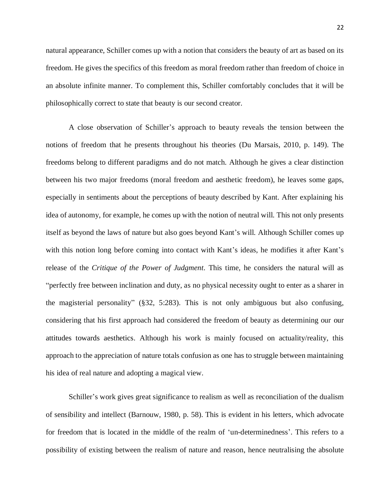natural appearance, Schiller comes up with a notion that considers the beauty of art as based on its freedom. He gives the specifics of this freedom as moral freedom rather than freedom of choice in an absolute infinite manner. To complement this, Schiller comfortably concludes that it will be philosophically correct to state that beauty is our second creator.

A close observation of Schiller's approach to beauty reveals the tension between the notions of freedom that he presents throughout his theories (Du Marsais, 2010, p. 149). The freedoms belong to different paradigms and do not match. Although he gives a clear distinction between his two major freedoms (moral freedom and aesthetic freedom), he leaves some gaps, especially in sentiments about the perceptions of beauty described by Kant. After explaining his idea of autonomy, for example, he comes up with the notion of neutral will. This not only presents itself as beyond the laws of nature but also goes beyond Kant's will. Although Schiller comes up with this notion long before coming into contact with Kant's ideas, he modifies it after Kant's release of the *Critique of the Power of Judgment*. This time, he considers the natural will as "perfectly free between inclination and duty, as no physical necessity ought to enter as a sharer in the magisterial personality" (§32, 5:283). This is not only ambiguous but also confusing, considering that his first approach had considered the freedom of beauty as determining our our attitudes towards aesthetics. Although his work is mainly focused on actuality/reality, this approach to the appreciation of nature totals confusion as one has to struggle between maintaining his idea of real nature and adopting a magical view.

Schiller's work gives great significance to realism as well as reconciliation of the dualism of sensibility and intellect (Barnouw, 1980, p. 58). This is evident in his letters, which advocate for freedom that is located in the middle of the realm of 'un-determinedness'. This refers to a possibility of existing between the realism of nature and reason, hence neutralising the absolute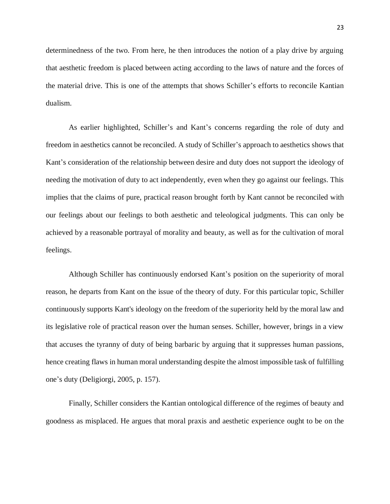determinedness of the two. From here, he then introduces the notion of a play drive by arguing that aesthetic freedom is placed between acting according to the laws of nature and the forces of the material drive. This is one of the attempts that shows Schiller's efforts to reconcile Kantian dualism.

As earlier highlighted, Schiller's and Kant's concerns regarding the role of duty and freedom in aesthetics cannot be reconciled. A study of Schiller's approach to aesthetics shows that Kant's consideration of the relationship between desire and duty does not support the ideology of needing the motivation of duty to act independently, even when they go against our feelings. This implies that the claims of pure, practical reason brought forth by Kant cannot be reconciled with our feelings about our feelings to both aesthetic and teleological judgments. This can only be achieved by a reasonable portrayal of morality and beauty, as well as for the cultivation of moral feelings.

Although Schiller has continuously endorsed Kant's position on the superiority of moral reason, he departs from Kant on the issue of the theory of duty. For this particular topic, Schiller continuously supports Kant's ideology on the freedom of the superiority held by the moral law and its legislative role of practical reason over the human senses. Schiller, however, brings in a view that accuses the tyranny of duty of being barbaric by arguing that it suppresses human passions, hence creating flaws in human moral understanding despite the almost impossible task of fulfilling one's duty (Deligiorgi, 2005, p. 157).

Finally, Schiller considers the Kantian ontological difference of the regimes of beauty and goodness as misplaced. He argues that moral praxis and aesthetic experience ought to be on the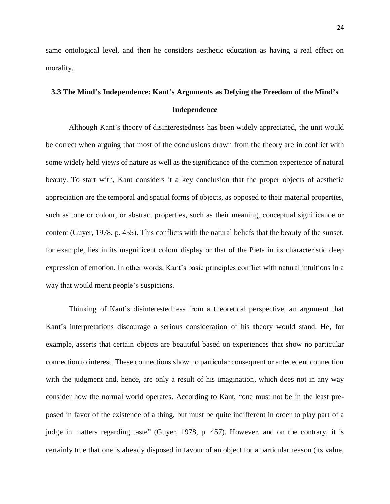same ontological level, and then he considers aesthetic education as having a real effect on morality.

## <span id="page-24-0"></span>**3.3 The Mind's Independence: Kant's Arguments as Defying the Freedom of the Mind's Independence**

Although Kant's theory of disinterestedness has been widely appreciated, the unit would be correct when arguing that most of the conclusions drawn from the theory are in conflict with some widely held views of nature as well as the significance of the common experience of natural beauty. To start with, Kant considers it a key conclusion that the proper objects of aesthetic appreciation are the temporal and spatial forms of objects, as opposed to their material properties, such as tone or colour, or abstract properties, such as their meaning, conceptual significance or content (Guyer, 1978, p. 455). This conflicts with the natural beliefs that the beauty of the sunset, for example, lies in its magnificent colour display or that of the Pieta in its characteristic deep expression of emotion. In other words, Kant's basic principles conflict with natural intuitions in a way that would merit people's suspicions.

Thinking of Kant's disinterestedness from a theoretical perspective, an argument that Kant's interpretations discourage a serious consideration of his theory would stand. He, for example, asserts that certain objects are beautiful based on experiences that show no particular connection to interest. These connections show no particular consequent or antecedent connection with the judgment and, hence, are only a result of his imagination, which does not in any way consider how the normal world operates. According to Kant, "one must not be in the least preposed in favor of the existence of a thing, but must be quite indifferent in order to play part of a judge in matters regarding taste" (Guyer, 1978, p. 457). However, and on the contrary, it is certainly true that one is already disposed in favour of an object for a particular reason (its value,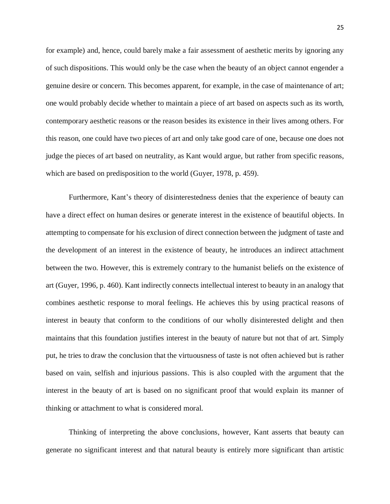for example) and, hence, could barely make a fair assessment of aesthetic merits by ignoring any of such dispositions. This would only be the case when the beauty of an object cannot engender a genuine desire or concern. This becomes apparent, for example, in the case of maintenance of art; one would probably decide whether to maintain a piece of art based on aspects such as its worth, contemporary aesthetic reasons or the reason besides its existence in their lives among others. For this reason, one could have two pieces of art and only take good care of one, because one does not judge the pieces of art based on neutrality, as Kant would argue, but rather from specific reasons, which are based on predisposition to the world (Guyer, 1978, p. 459).

Furthermore, Kant's theory of disinterestedness denies that the experience of beauty can have a direct effect on human desires or generate interest in the existence of beautiful objects. In attempting to compensate for his exclusion of direct connection between the judgment of taste and the development of an interest in the existence of beauty, he introduces an indirect attachment between the two. However, this is extremely contrary to the humanist beliefs on the existence of art (Guyer, 1996, p. 460). Kant indirectly connects intellectual interest to beauty in an analogy that combines aesthetic response to moral feelings. He achieves this by using practical reasons of interest in beauty that conform to the conditions of our wholly disinterested delight and then maintains that this foundation justifies interest in the beauty of nature but not that of art. Simply put, he tries to draw the conclusion that the virtuousness of taste is not often achieved but is rather based on vain, selfish and injurious passions. This is also coupled with the argument that the interest in the beauty of art is based on no significant proof that would explain its manner of thinking or attachment to what is considered moral.

Thinking of interpreting the above conclusions, however, Kant asserts that beauty can generate no significant interest and that natural beauty is entirely more significant than artistic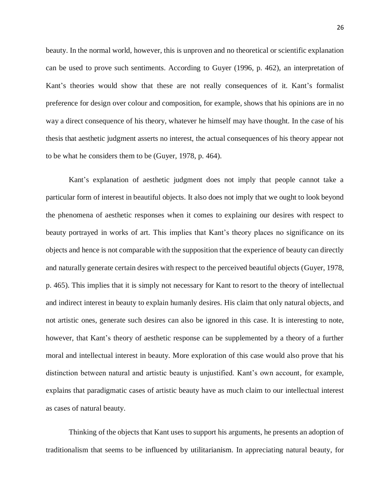beauty. In the normal world, however, this is unproven and no theoretical or scientific explanation can be used to prove such sentiments. According to Guyer (1996, p. 462), an interpretation of Kant's theories would show that these are not really consequences of it. Kant's formalist preference for design over colour and composition, for example, shows that his opinions are in no way a direct consequence of his theory, whatever he himself may have thought. In the case of his thesis that aesthetic judgment asserts no interest, the actual consequences of his theory appear not to be what he considers them to be (Guyer, 1978, p. 464).

Kant's explanation of aesthetic judgment does not imply that people cannot take a particular form of interest in beautiful objects. It also does not imply that we ought to look beyond the phenomena of aesthetic responses when it comes to explaining our desires with respect to beauty portrayed in works of art. This implies that Kant's theory places no significance on its objects and hence is not comparable with the supposition that the experience of beauty can directly and naturally generate certain desires with respect to the perceived beautiful objects (Guyer, 1978, p. 465). This implies that it is simply not necessary for Kant to resort to the theory of intellectual and indirect interest in beauty to explain humanly desires. His claim that only natural objects, and not artistic ones, generate such desires can also be ignored in this case. It is interesting to note, however, that Kant's theory of aesthetic response can be supplemented by a theory of a further moral and intellectual interest in beauty. More exploration of this case would also prove that his distinction between natural and artistic beauty is unjustified. Kant's own account, for example, explains that paradigmatic cases of artistic beauty have as much claim to our intellectual interest as cases of natural beauty.

Thinking of the objects that Kant uses to support his arguments, he presents an adoption of traditionalism that seems to be influenced by utilitarianism. In appreciating natural beauty, for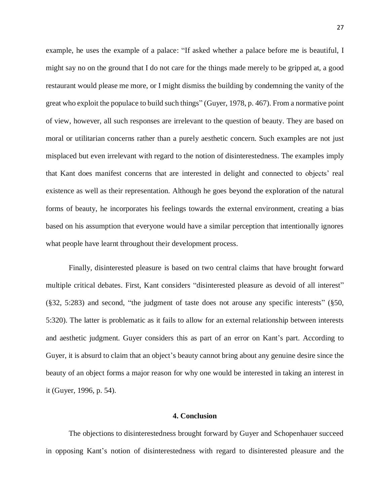example, he uses the example of a palace: "If asked whether a palace before me is beautiful, I might say no on the ground that I do not care for the things made merely to be gripped at, a good restaurant would please me more, or I might dismiss the building by condemning the vanity of the great who exploit the populace to build such things" (Guyer, 1978, p. 467). From a normative point of view, however, all such responses are irrelevant to the question of beauty. They are based on moral or utilitarian concerns rather than a purely aesthetic concern. Such examples are not just misplaced but even irrelevant with regard to the notion of disinterestedness. The examples imply that Kant does manifest concerns that are interested in delight and connected to objects' real existence as well as their representation. Although he goes beyond the exploration of the natural forms of beauty, he incorporates his feelings towards the external environment, creating a bias based on his assumption that everyone would have a similar perception that intentionally ignores what people have learnt throughout their development process.

Finally, disinterested pleasure is based on two central claims that have brought forward multiple critical debates. First, Kant considers "disinterested pleasure as devoid of all interest" (§32, 5:283) and second, "the judgment of taste does not arouse any specific interests" (§50, 5:320). The latter is problematic as it fails to allow for an external relationship between interests and aesthetic judgment. Guyer considers this as part of an error on Kant's part. According to Guyer, it is absurd to claim that an object's beauty cannot bring about any genuine desire since the beauty of an object forms a major reason for why one would be interested in taking an interest in it (Guyer, 1996, p. 54).

## **4. Conclusion**

<span id="page-27-0"></span>The objections to disinterestedness brought forward by Guyer and Schopenhauer succeed in opposing Kant's notion of disinterestedness with regard to disinterested pleasure and the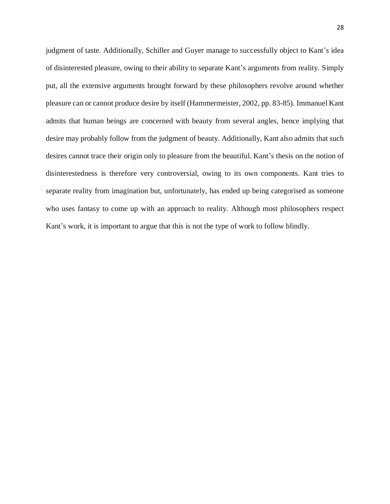judgment of taste. Additionally, Schiller and Guyer manage to successfully object to Kant's idea of disinterested pleasure, owing to their ability to separate Kant's arguments from reality. Simply put, all the extensive arguments brought forward by these philosophers revolve around whether pleasure can or cannot produce desire by itself (Hammermeister, 2002, pp. 83-85). Immanuel Kant admits that human beings are concerned with beauty from several angles, hence implying that desire may probably follow from the judgment of beauty. Additionally, Kant also admits that such desires cannot trace their origin only to pleasure from the beautiful. Kant's thesis on the notion of disinterestedness is therefore very controversial, owing to its own components. Kant tries to separate reality from imagination but, unfortunately, has ended up being categorised as someone who uses fantasy to come up with an approach to reality. Although most philosophers respect Kant's work, it is important to argue that this is not the type of work to follow blindly.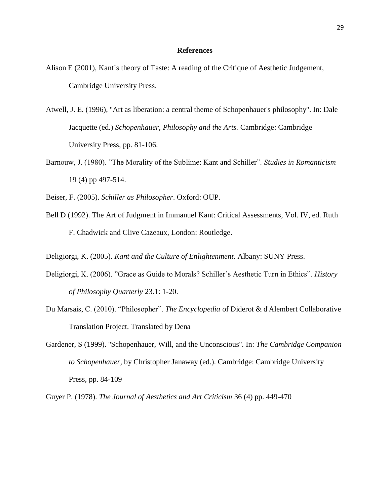## **References**

- Alison E (2001), Kant`s theory of Taste: A reading of the Critique of Aesthetic Judgement, Cambridge University Press.
- Atwell, J. E. (1996), ''Art as liberation: a central theme of Schopenhauer's philosophy''. In: Dale Jacquette (ed.) *Schopenhauer, Philosophy and the Arts.* Cambridge: Cambridge University Press, pp. 81-106.
- Barnouw, J. (1980). "The Morality of the Sublime: Kant and Schiller". *Studies in Romanticism*  19 (4) pp 497-514.
- Beiser, F. (2005). *Schiller as Philosopher*. Oxford: OUP.
- Bell D (1992). The Art of Judgment in Immanuel Kant: Critical Assessments, Vol. IV, ed. Ruth F. Chadwick and Clive Cazeaux, London: Routledge.
- Deligiorgi, K. (2005). *Kant and the Culture of Enlightenment*. Albany: SUNY Press.
- Deligiorgi, K. (2006). "Grace as Guide to Morals? Schiller's Aesthetic Turn in Ethics". *History of Philosophy Quarterly* 23.1: 1-20.
- Du Marsais, C. (2010). "Philosopher". *The Encyclopedia* of Diderot & d'Alembert Collaborative Translation Project. Translated by Dena
- Gardener, S (1999). ''Schopenhauer, Will, and the Unconscious''. In: *The Cambridge Companion to Schopenhauer,* by Christopher Janaway (ed.). Cambridge: Cambridge University Press, pp. 84-109
- Guyer P. (1978). *The Journal of Aesthetics and Art Criticism* 36 (4) pp. 449-470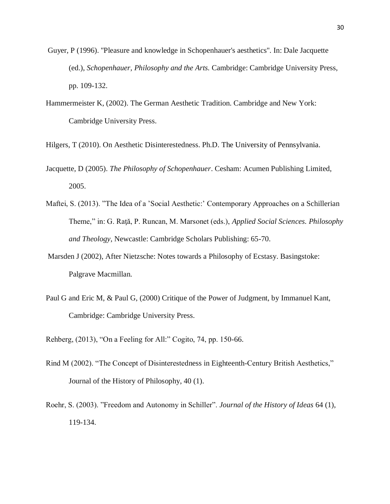- Guyer, P (1996). ''Pleasure and knowledge in Schopenhauer's aesthetics''. In: Dale Jacquette (ed.), *Schopenhauer, Philosophy and the Arts.* Cambridge: Cambridge University Press, pp. 109-132.
- Hammermeister K, (2002). The German Aesthetic Tradition. Cambridge and New York: Cambridge University Press.
- Hilgers, T (2010). On Aesthetic Disinterestedness. Ph.D. The University of Pennsylvania.
- Jacquette, D (2005). *The Philosophy of Schopenhauer*. Cesham: Acumen Publishing Limited, 2005.
- Maftei, S. (2013). "The Idea of a 'Social Aesthetic:' Contemporary Approaches on a Schillerian Theme," in: G. Raţă, P. Runcan, M. Marsonet (eds.), *Applied Social Sciences. Philosophy and Theology*, Newcastle: Cambridge Scholars Publishing: 65-70.
- Marsden J (2002), After Nietzsche: Notes towards a Philosophy of Ecstasy. Basingstoke: Palgrave Macmillan.
- Paul G and Eric M, & Paul G, (2000) Critique of the Power of Judgment, by Immanuel Kant, Cambridge: Cambridge University Press.
- Rehberg, (2013), "On a Feeling for All:" Cogito, 74, pp. 150-66.
- Rind M (2002). "The Concept of Disinterestedness in Eighteenth-Century British Aesthetics," Journal of the History of Philosophy, 40 (1).
- Roehr, S. (2003). "Freedom and Autonomy in Schiller". *Journal of the History of Ideas* 64 (1), 119-134.